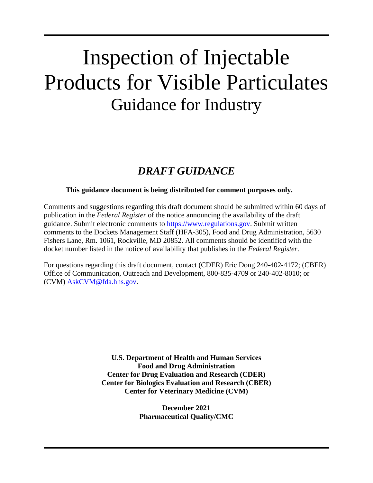# Inspection of Injectable Products for Visible Particulates Guidance for Industry

# *DRAFT GUIDANCE*

## **This guidance document is being distributed for comment purposes only.**

Comments and suggestions regarding this draft document should be submitted within 60 days of publication in the *Federal Register* of the notice announcing the availability of the draft guidance. Submit electronic comments to https://www.regulations.gov. Submit written comments to the Dockets Management Staff (HFA-305), Food and Drug Administration, 5630 Fishers Lane, Rm. 1061, Rockville, MD 20852. All comments should be identified with the docket number listed in the notice of availability that publishes in the *Federal Register*.

For questions regarding this draft document, contact (CDER) Eric Dong 240-402-4172; (CBER) Office of Communication, Outreach and Development, 800-835-4709 or 240-402-8010; or (CVM) AskCVM@fda.hhs.gov.

> **U.S. Department of Health and Human Services Food and Drug Administration Center for Drug Evaluation and Research (CDER) Center for Biologics Evaluation and Research (CBER) Center for Veterinary Medicine (CVM)**

> > **December 2021 Pharmaceutical Quality/CMC**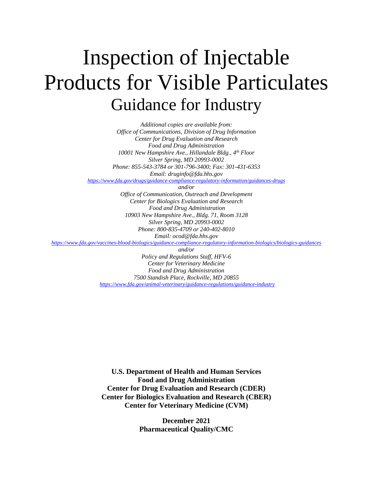# Inspection of Injectable Products for Visible Particulates Guidance for Industry

*Additional copies are available from: Office of Communications, Division of Drug Information Center for Drug Evaluation and Research Food and Drug Administration 10001 New Hampshire Ave., Hillandale Bldg., 4th Floor Silver Spring, MD 20993-0002 Phone: 855-543-3784 or 301-796-3400; Fax: 301-431-6353 Email: druginfo@fda.hhs.gov*

*https://www.fda.gov/drugs/guidance-compliance-regulatory-information/guidances-drugs*

*and/or*

*Office of Communication, Outreach and Development Center for Biologics Evaluation and Research Food and Drug Administration 10903 New Hampshire Ave., Bldg. 71, Room 3128 Silver Spring, MD 20993-0002 Phone: 800-835-4709 or 240-402-8010 Email: ocod@fda.hhs.gov*

*https://www.fda.gov/vaccines-blood-biologics/guidance-compliance-regulatory-information-biologics/biologics-guidances*

*and/or Policy and Regulations Staff, HFV-6 Center for Veterinary Medicine Food and Drug Administration 7500 Standish Place, Rockville, MD 20855 https://www.fda.gov/animal-veterinary/guidance-regulations/guidance-industry*

**U.S. Department of Health and Human Services Food and Drug Administration Center for Drug Evaluation and Research (CDER) Center for Biologics Evaluation and Research (CBER) Center for Veterinary Medicine (CVM)**

> **December 2021 Pharmaceutical Quality/CMC**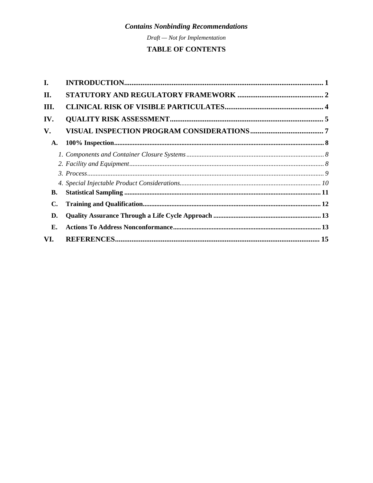Draft - Not for Implementation

# TABLE OF CONTENTS

| I.  |  |
|-----|--|
| II. |  |
| Ш.  |  |
| IV. |  |
| V.  |  |
| A.  |  |
|     |  |
|     |  |
|     |  |
|     |  |
| В.  |  |
| С.  |  |
| D.  |  |
| Е.  |  |
| VI. |  |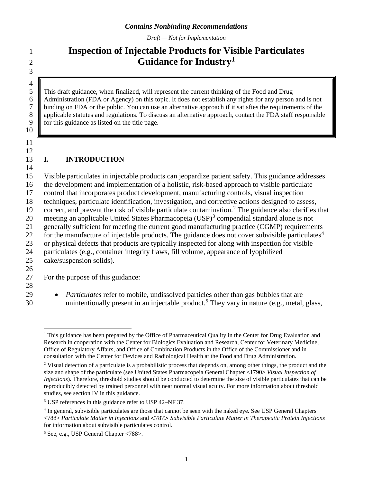*Draft — Not for Implementation*

# 3  $\frac{4}{5}$

10

11 12

# 1 **Inspection of Injectable Products for Visible Particulates Guidance for Industry1** <sup>2</sup>

5 This draft guidance, when finalized, will represent the current thinking of the Food and Drug 6 Administration (FDA or Agency) on this topic. It does not establish any rights for any person and is not binding on FDA or the public. You can use an alternative approach if it satisfies the requirements of the 7 binding on FDA or the public. You can use an alternative approach if it satisfies the requirements of the applicable statutes and regulations. To discuss an alternative approach, contact the FDA staff responsible 8 applicable statutes and regulations. To discuss an alternative approach, contact the FDA staff responsible for this guidance as listed on the title page. for this guidance as listed on the title page.

# 13 **I. INTRODUCTION**

14 Visible particulates in injectable products can jeopardize patient safety. This guidance addresses the development and implementation of a holistic, risk-based approach to visible particulate control that incorporates product development, manufacturing controls, visual inspection techniques, particulate identification, investigation, and corrective actions designed to assess, 19 correct, and prevent the risk of visible particulate contamination.<sup>2</sup> The guidance also clarifies that 20 meeting an applicable United States Pharmacopeia  $(USP)^3$  compendial standard alone is not generally sufficient for meeting the current good manufacturing practice (CGMP) requirements 22 for the manufacture of injectable products. The guidance does not cover subvisible particulates<sup>4</sup> or physical defects that products are typically inspected for along with inspection for visible particulates (e.g., container integrity flaws, fill volume, appearance of lyophilized cake/suspension solids). 26

27 For the purpose of this guidance:

- 28
- 29 *Particulates* refer to mobile, undissolved particles other than gas bubbles that are 30 unintentionally present in an injectable product.<sup>5</sup> They vary in nature (e.g., metal, glass,

<sup>&</sup>lt;sup>1</sup> This guidance has been prepared by the Office of Pharmaceutical Quality in the Center for Drug Evaluation and Research in cooperation with the Center for Biologics Evaluation and Research, Center for Veterinary Medicine, Office of Regulatory Affairs, and Office of Combination Products in the Office of the Commissioner and in consultation with the Center for Devices and Radiological Health at the Food and Drug Administration.

<sup>&</sup>lt;sup>2</sup> Visual detection of a particulate is a probabilistic process that depends on, among other things, the product and the size and shape of the particulate (see United States Pharmacopeia General Chapter <1790> *Visual Inspection of Injections*). Therefore, threshold studies should be conducted to determine the size of visible particulates that can be reproducibly detected by trained personnel with near normal visual acuity. For more information about threshold studies, see section IV in this guidance.

<sup>3</sup> USP references in this guidance refer to USP 42–NF 37.

<sup>4</sup> In general, subvisible particulates are those that cannot be seen with the naked eye. See USP General Chapters <788> *Particulate Matter in Injections* and <787> *Subvisible Particulate Matter in Therapeutic Protein Injections* for information about subvisible particulates control.

<sup>5</sup> See, e.g., USP General Chapter <788>.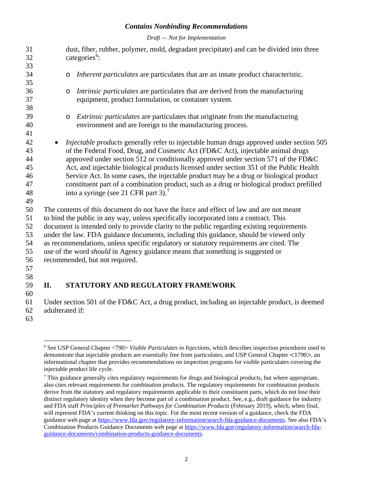*Draft — Not for Implementation*

| 31       | dust, fiber, rubber, polymer, mold, degradant precipitate) and can be divided into three        |
|----------|-------------------------------------------------------------------------------------------------|
| 32       | categories <sup>6</sup> :                                                                       |
| 33       |                                                                                                 |
| 34       | Inherent particulates are particulates that are an innate product characteristic.<br>$\circ$    |
| 35       |                                                                                                 |
| 36       | Intrinsic particulates are particulates that are derived from the manufacturing<br>$\circ$      |
| 37       | equipment, product formulation, or container system.                                            |
| 38       |                                                                                                 |
| 39       | Extrinsic particulates are particulates that originate from the manufacturing<br>$\circ$        |
| 40       | environment and are foreign to the manufacturing process.                                       |
| 41       |                                                                                                 |
| 42       | <i>Injectable products</i> generally refer to injectable human drugs approved under section 505 |
| 43       | of the Federal Food, Drug, and Cosmetic Act (FD&C Act), injectable animal drugs                 |
| 44       | approved under section 512 or conditionally approved under section 571 of the FD&C              |
| 45       | Act, and injectable biological products licensed under section 351 of the Public Health         |
| 46       | Service Act. In some cases, the injectable product may be a drug or biological product          |
| 47       | constituent part of a combination product, such as a drug or biological product prefilled       |
| 48<br>49 | into a syringe (see 21 CFR part 3). <sup>7</sup>                                                |
| 50       | The contents of this document do not have the force and effect of law and are not meant         |
| 51       | to bind the public in any way, unless specifically incorporated into a contract. This           |
| 52       | document is intended only to provide clarity to the public regarding existing requirements      |
| 53       | under the law. FDA guidance documents, including this guidance, should be viewed only           |
| 54       | as recommendations, unless specific regulatory or statutory requirements are cited. The         |
| 55       | use of the word <i>should</i> in Agency guidance means that something is suggested or           |
| 56       | recommended, but not required.                                                                  |
| 57       |                                                                                                 |
| 58       |                                                                                                 |
| 50       | <b>STATUTORY AND RECHLATORY FRAMEWORK</b><br>П                                                  |

# **II. STATUTORY AND REGULATORY FRAMEWORK**

 Under section 501 of the FD&C Act, a drug product, including an injectable product, is deemed adulterated if:

 See USP General Chapter <790> *Visible Particulates in Injections*, which describes inspection procedures used to demonstrate that injectable products are essentially free from particulates, and USP General Chapter <1790>, an informational chapter that provides recommendations on inspection programs for visible particulates covering the injectable product life cycle*.* 

 $^7$  This guidance generally cites regulatory requirements for drugs and biological products, but where appropriate, also cites relevant requirements for combination products. The regulatory requirements for combination products derive from the statutory and regulatory requirements applicable to their constituent parts, which do not lose their distinct regulatory identity when they become part of a combination product. See, e.g., draft guidance for industry and FDA staff *Principles of Premarket Pathways for Combination Products* (February 2019), which, when final, will represent FDA's current thinking on this topic. For the most recent version of a guidance, check the FDA guidance web page at https://www.fda.gov/regulatory-information/search-fda-guidance-documents. See also FDA's Combination Products Guidance Documents web page at https://www.fda.gov/regulatory-information/search-fdaguidance-documents/combination-products-guidance-documents.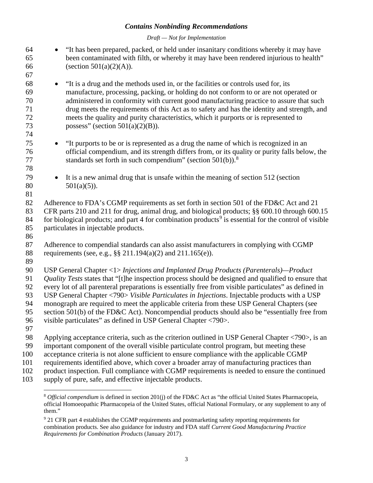*Draft — Not for Implementation*

| 64<br>65<br>66                                     | "It has been prepared, packed, or held under insanitary conditions whereby it may have<br>$\bullet$<br>been contaminated with filth, or whereby it may have been rendered injurious to health"<br>(section $501(a)(2)(A)$ ).                                                                                                                                                                                                                                                                                                                                                                                                                                           |
|----------------------------------------------------|------------------------------------------------------------------------------------------------------------------------------------------------------------------------------------------------------------------------------------------------------------------------------------------------------------------------------------------------------------------------------------------------------------------------------------------------------------------------------------------------------------------------------------------------------------------------------------------------------------------------------------------------------------------------|
| 67<br>68<br>69<br>70<br>71<br>72<br>73             | "It is a drug and the methods used in, or the facilities or controls used for, its<br>$\bullet$<br>manufacture, processing, packing, or holding do not conform to or are not operated or<br>administered in conformity with current good manufacturing practice to assure that such<br>drug meets the requirements of this Act as to safety and has the identity and strength, and<br>meets the quality and purity characteristics, which it purports or is represented to<br>possess" (section $501(a)(2)(B)$ ).                                                                                                                                                      |
| 74<br>75<br>76<br>77<br>78                         | "It purports to be or is represented as a drug the name of which is recognized in an<br>$\bullet$<br>official compendium, and its strength differs from, or its quality or purity falls below, the<br>standards set forth in such compendium" (section $501(b)$ ). <sup>8</sup>                                                                                                                                                                                                                                                                                                                                                                                        |
| 79<br>80                                           | It is a new animal drug that is unsafe within the meaning of section 512 (section<br>$\bullet$<br>$501(a)(5)$ ).                                                                                                                                                                                                                                                                                                                                                                                                                                                                                                                                                       |
| 81<br>82<br>83<br>84<br>85                         | Adherence to FDA's CGMP requirements as set forth in section 501 of the FD&C Act and 21<br>CFR parts 210 and 211 for drug, animal drug, and biological products; §§ 600.10 through 600.15<br>for biological products; and part 4 for combination products <sup>9</sup> is essential for the control of visible<br>particulates in injectable products.                                                                                                                                                                                                                                                                                                                 |
| 86<br>87<br>88                                     | Adherence to compendial standards can also assist manufacturers in complying with CGMP<br>requirements (see, e.g., $\S\S 211.194(a)(2)$ and $211.165(e)$ ).                                                                                                                                                                                                                                                                                                                                                                                                                                                                                                            |
| 89<br>90<br>91<br>92<br>93<br>94<br>95<br>96<br>97 | USP General Chapter <1> Injections and Implanted Drug Products (Parenterals)—Product<br>Quality Tests states that "[t]he inspection process should be designed and qualified to ensure that<br>every lot of all parenteral preparations is essentially free from visible particulates" as defined in<br>USP General Chapter <790> Visible Particulates in Injections. Injectable products with a USP<br>monograph are required to meet the applicable criteria from these USP General Chapters (see<br>section 501(b) of the FD&C Act). Noncompendial products should also be "essentially free from<br>visible particulates" as defined in USP General Chapter <790>. |
| 98<br>99<br>100<br>101<br>102<br>103               | Applying acceptance criteria, such as the criterion outlined in USP General Chapter $\langle 790 \rangle$ , is an<br>important component of the overall visible particulate control program, but meeting these<br>acceptance criteria is not alone sufficient to ensure compliance with the applicable CGMP<br>requirements identified above, which cover a broader array of manufacturing practices than<br>product inspection. Full compliance with CGMP requirements is needed to ensure the continued<br>supply of pure, safe, and effective injectable products.                                                                                                  |
|                                                    | $8.0$ fixed compartium is defined in section $201$ (i) of the ED eC A et as "the official United States Pharmaconaic                                                                                                                                                                                                                                                                                                                                                                                                                                                                                                                                                   |

*Official compendium* is defined in section 201(j) of the FD&C Act as "the official United States Pharmacopeia, official Homoeopathic Pharmacopeia of the United States, official National Formulary, or any supplement to any of them."

<sup>&</sup>lt;sup>9</sup> 21 CFR part 4 establishes the CGMP requirements and postmarketing safety reporting requirements for combination products. See also guidance for industry and FDA staff *Current Good Manufacturing Practice Requirements for Combination Products* (January 2017).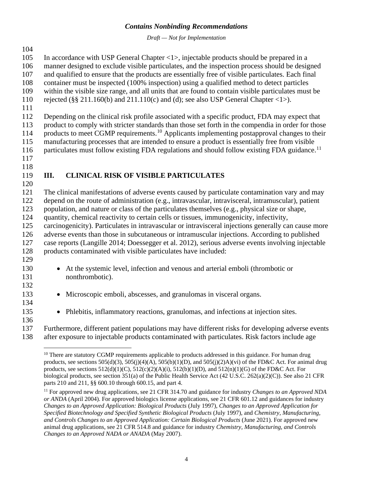*Draft — Not for Implementation*

In accordance with USP General Chapter <1>, injectable products should be prepared in a

- manner designed to exclude visible particulates, and the inspection process should be designed
- and qualified to ensure that the products are essentially free of visible particulates. Each final container must be inspected (100% inspection) using a qualified method to detect particles
- within the visible size range, and all units that are found to contain visible particulates must be
- rejected (§§ 211.160(b) and 211.110(c) and (d); see also USP General Chapter <1>).
- 

Depending on the clinical risk profile associated with a specific product, FDA may expect that

 product to comply with stricter standards than those set forth in the compendia in order for those 114 products to meet CGMP requirements.<sup>10</sup> Applicants implementing postapproval changes to their

manufacturing processes that are intended to ensure a product is essentially free from visible

116 particulates must follow existing FDA regulations and should follow existing FDA guidance.<sup>11</sup>

# 

#### **III. CLINICAL RISK OF VISIBLE PARTICULATES**

 The clinical manifestations of adverse events caused by particulate contamination vary and may depend on the route of administration (e.g., intravascular, intravisceral, intramuscular), patient population, and nature or class of the particulates themselves (e.g., physical size or shape, quantity, chemical reactivity to certain cells or tissues, immunogenicity, infectivity, carcinogenicity). Particulates in intravascular or intravisceral injections generally can cause more adverse events than those in subcutaneous or intramuscular injections. According to published case reports (Langille 2014; Doessegger et al. 2012), serious adverse events involving injectable 128 products contaminated with visible particulates have included: 

- At the systemic level, infection and venous and arterial emboli (thrombotic or nonthrombotic).
- Microscopic emboli, abscesses, and granulomas in visceral organs.
- Phlebitis, inflammatory reactions, granulomas, and infections at injection sites.

 Furthermore, different patient populations may have different risks for developing adverse events after exposure to injectable products contaminated with particulates. Risk factors include age

<sup>&</sup>lt;sup>10</sup> There are statutory CGMP requirements applicable to products addressed in this guidance. For human drug products, see sections  $505(d)(3)$ ,  $505(f)(4)(A)$ ,  $505(b)(1)(D)$ , and  $505(f)(2)A)(vi)$  of the FD&C Act. For animal drug products, see sections  $512(d)(1)(C)$ ,  $512(c)(2)(A)(i)$ ,  $512(b)(1)(D)$ , and  $512(n)(1)(G)$  of the FD&C Act. For biological products, see section 351(a) of the Public Health Service Act (42 U.S.C. 262(a)(2)(C)). See also 21 CFR parts 210 and 211, §§ 600.10 through 600.15, and part 4.

 For approved new drug applications, see 21 CFR 314.70 and guidance for industry *Changes to an Approved NDA or ANDA* (April 2004). For approved biologics license applications, see 21 CFR 601.12 and guidances for industry *Changes to an Approved Application: Biological Products* (July 1997), *Changes to an Approved Application for Specified Biotechnology and Specified Synthetic Biological Products* (July 1997), and *Chemistry, Manufacturing, and Controls Changes to an Approved Application: Certain Biological Products* (June 2021). For approved new animal drug applications, see 21 CFR 514.8 and guidance for industry *Chemistry, Manufacturing, and Controls Changes to an Approved NADA or ANADA* (May 2007).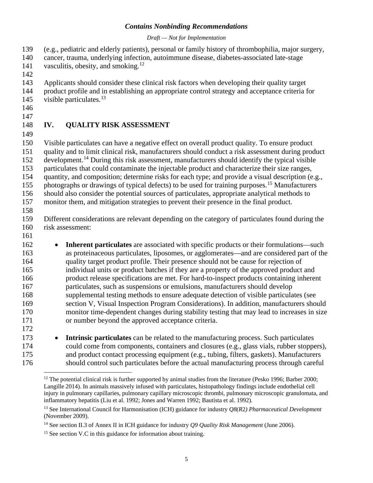#### *Draft — Not for Implementation*

(e.g., pediatric and elderly patients), personal or family history of thrombophilia, major surgery,

- cancer, trauma, underlying infection, autoimmune disease, diabetes-associated late-stage
- 141 vasculitis, obesity, and smoking.<sup>12</sup>
- Applicants should consider these clinical risk factors when developing their quality target
- product profile and in establishing an appropriate control strategy and acceptance criteria for 145 visible particulates.<sup>13</sup>
- 
- 

# **IV. QUALITY RISK ASSESSMENT**

 Visible particulates can have a negative effect on overall product quality. To ensure product quality and to limit clinical risk, manufacturers should conduct a risk assessment during product 152 development.<sup>14</sup> During this risk assessment, manufacturers should identify the typical visible particulates that could contaminate the injectable product and characterize their size ranges, quantity, and composition; determine risks for each type; and provide a visual description (e.g., 155 photographs or drawings of typical defects) to be used for training purposes.<sup>15</sup> Manufacturers should also consider the potential sources of particulates, appropriate analytical methods to monitor them, and mitigation strategies to prevent their presence in the final product.

 Different considerations are relevant depending on the category of particulates found during the risk assessment:

 • **Inherent particulates** are associated with specific products or their formulations—such as proteinaceous particulates, liposomes, or agglomerates—and are considered part of the quality target product profile. Their presence should not be cause for rejection of individual units or product batches if they are a property of the approved product and product release specifications are met. For hard-to-inspect products containing inherent particulates, such as suspensions or emulsions, manufacturers should develop supplemental testing methods to ensure adequate detection of visible particulates (see section V, Visual Inspection Program Considerations). In addition, manufacturers should monitor time-dependent changes during stability testing that may lead to increases in size or number beyond the approved acceptance criteria. 

 • **Intrinsic particulates** can be related to the manufacturing process. Such particulates could come from components, containers and closures (e.g., glass vials, rubber stoppers), and product contact processing equipment (e.g., tubing, filters, gaskets). Manufacturers should control such particulates before the actual manufacturing process through careful

 The potential clinical risk is further supported by animal studies from the literature (Pesko 1996; Barber 2000; Langille 2014). In animals massively infused with particulates, histopathology findings include endothelial cell injury in pulmonary capillaries, pulmonary capillary microscopic thrombi, pulmonary microscopic granulomata, and inflammatory hepatitis (Liu et al. 1992; Jones and Warren 1992; Bautista et al. 1992).

 See International Council for Harmonisation (ICH) guidance for industry *Q8(R*2*) Pharmaceutical Development* (November 2009).

See section II.3 of Annex II in ICH guidance for industry *Q9 Quality Risk Management* (June 2006).

<sup>&</sup>lt;sup>15</sup> See section V.C in this guidance for information about training.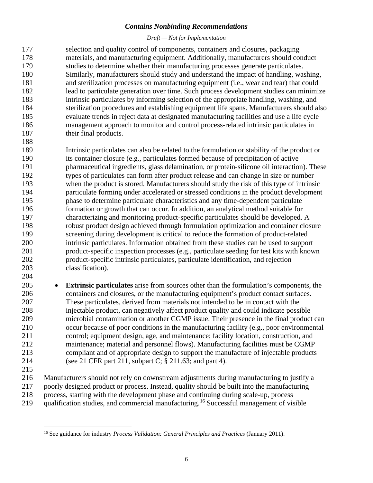#### *Draft — Not for Implementation*

 selection and quality control of components, containers and closures, packaging materials, and manufacturing equipment. Additionally, manufacturers should conduct studies to determine whether their manufacturing processes generate particulates. Similarly, manufacturers should study and understand the impact of handling, washing, and sterilization processes on manufacturing equipment (i.e., wear and tear) that could lead to particulate generation over time. Such process development studies can minimize intrinsic particulates by informing selection of the appropriate handling, washing, and sterilization procedures and establishing equipment life spans. Manufacturers should also evaluate trends in reject data at designated manufacturing facilities and use a life cycle management approach to monitor and control process-related intrinsic particulates in 187 their final products. 

 Intrinsic particulates can also be related to the formulation or stability of the product or its container closure (e.g., particulates formed because of precipitation of active pharmaceutical ingredients, glass delamination, or protein-silicone oil interaction). These types of particulates can form after product release and can change in size or number when the product is stored. Manufacturers should study the risk of this type of intrinsic particulate forming under accelerated or stressed conditions in the product development phase to determine particulate characteristics and any time-dependent particulate formation or growth that can occur. In addition, an analytical method suitable for characterizing and monitoring product-specific particulates should be developed. A robust product design achieved through formulation optimization and container closure screening during development is critical to reduce the formation of product-related intrinsic particulates. Information obtained from these studies can be used to support product-specific inspection processes (e.g., particulate seeding for test kits with known product-specific intrinsic particulates, particulate identification, and rejection classification). 

 • **Extrinsic particulates** arise from sources other than the formulation's components, the containers and closures, or the manufacturing equipment's product contact surfaces. These particulates, derived from materials not intended to be in contact with the injectable product, can negatively affect product quality and could indicate possible microbial contamination or another CGMP issue. Their presence in the final product can occur because of poor conditions in the manufacturing facility (e.g., poor environmental control; equipment design, age, and maintenance; facility location, construction, and maintenance; material and personnel flows). Manufacturing facilities must be CGMP compliant and of appropriate design to support the manufacture of injectable products (see 21 CFR part 211, subpart C; § 211.63; and part 4).

 Manufacturers should not rely on downstream adjustments during manufacturing to justify a poorly designed product or process. Instead, quality should be built into the manufacturing process, starting with the development phase and continuing during scale-up, process 219 qualification studies, and commercial manufacturing.<sup>16</sup> Successful management of visible

See guidance for industry *Process Validation: General Principles and Practices* (January 2011).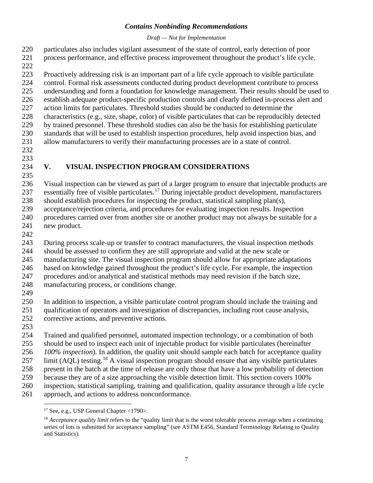#### *Draft — Not for Implementation*

 particulates also includes vigilant assessment of the state of control, early detection of poor process performance, and effective process improvement throughout the product's life cycle.

Proactively addressing risk is an important part of a life cycle approach to visible particulate

control. Formal risk assessments conducted during product development contribute to process

 understanding and form a foundation for knowledge management. Their results should be used to establish adequate product-specific production controls and clearly defined in-process alert and

action limits for particulates. Threshold studies should be conducted to determine the

 characteristics (e.g., size, shape, color) of visible particulates that can be reproducibly detected by trained personnel. These threshold studies can also be the basis for establishing particulate

- standards that will be used to establish inspection procedures, help avoid inspection bias, and allow manufacturers to verify their manufacturing processes are in a state of control.
- 

# 

# **V. VISUAL INSPECTION PROGRAM CONSIDERATIONS**

 Visual inspection can be viewed as part of a larger program to ensure that injectable products are 237 essentially free of visible particulates.<sup>17</sup> During injectable product development, manufacturers should establish procedures for inspecting the product, statistical sampling plan(s),

acceptance/rejection criteria, and procedures for evaluating inspection results. Inspection

procedures carried over from another site or another product may not always be suitable for a

- new product.
- 

During process scale-up or transfer to contract manufacturers, the visual inspection methods

should be assessed to confirm they are still appropriate and valid at the new scale or

manufacturing site. The visual inspection program should allow for appropriate adaptations

based on knowledge gained throughout the product's life cycle. For example, the inspection

procedures and/or analytical and statistical methods may need revision if the batch size,

manufacturing process, or conditions change.

 In addition to inspection, a visible particulate control program should include the training and qualification of operators and investigation of discrepancies, including root cause analysis,

- corrective actions, and preventive actions.
- 

 Trained and qualified personnel, automated inspection technology, or a combination of both should be used to inspect each unit of injectable product for visible particulates (hereinafter *100% inspection*). In addition, the quality unit should sample each batch for acceptance quality 257 limit (AQL) testing.<sup>18</sup> A visual inspection program should ensure that any visible particulates present in the batch at the time of release are only those that have a low probability of detection because they are of a size approaching the visible detection limit. This section covers 100% inspection, statistical sampling, training and qualification, quality assurance through a life cycle approach, and actions to address nonconformance.

See, e.g., USP General Chapter <1790>.

<sup>&</sup>lt;sup>18</sup> *Acceptance quality limit* refers to the "quality limit that is the worst tolerable process average when a continuing series of lots is submitted for acceptance sampling" (see ASTM E456, Standard Terminology Relating to Quality and Statistics).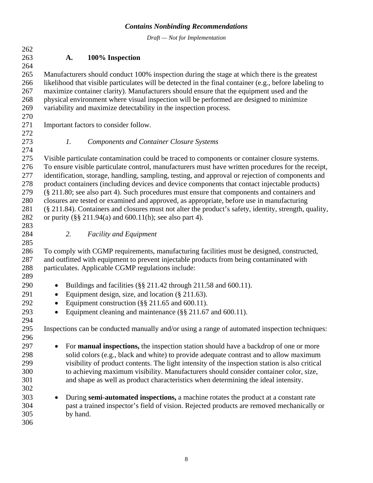*Draft — Not for Implementation*

 **A. 100% Inspection** Manufacturers should conduct 100% inspection during the stage at which there is the greatest likelihood that visible particulates will be detected in the final container (e.g., before labeling to maximize container clarity). Manufacturers should ensure that the equipment used and the physical environment where visual inspection will be performed are designed to minimize variability and maximize detectability in the inspection process. Important factors to consider follow. 272<br>273 *1. Components and Container Closure Systems* Visible particulate contamination could be traced to components or container closure systems. To ensure visible particulate control, manufacturers must have written procedures for the receipt, identification, storage, handling, sampling, testing, and approval or rejection of components and 278 product containers (including devices and device components that contact injectable products)<br>279 (§ 211.80; see also part 4). Such procedures must ensure that components and containers and  $(8, 211.80;$  see also part 4). Such procedures must ensure that components and containers and closures are tested or examined and approved, as appropriate, before use in manufacturing (§ 211.84). Containers and closures must not alter the product's safety, identity, strength, quality, or purity (§§ 211.94(a) and 600.11(h); see also part 4). *2. Facility and Equipment* To comply with CGMP requirements, manufacturing facilities must be designed, constructed, and outfitted with equipment to prevent injectable products from being contaminated with particulates. Applicable CGMP regulations include: 290 • Buildings and facilities (§§ 211.42 through 211.58 and 600.11). 291 • Equipment design, size, and location (§ 211.63). • Equipment construction (§§ 211.65 and 600.11). • Equipment cleaning and maintenance (§§ 211.67 and 600.11). Inspections can be conducted manually and/or using a range of automated inspection techniques: • For **manual inspections,** the inspection station should have a backdrop of one or more solid colors (e.g., black and white) to provide adequate contrast and to allow maximum visibility of product contents. The light intensity of the inspection station is also critical to achieving maximum visibility. Manufacturers should consider container color, size, and shape as well as product characteristics when determining the ideal intensity. • During **semi-automated inspections,** a machine rotates the product at a constant rate past a trained inspector's field of vision. Rejected products are removed mechanically or by hand.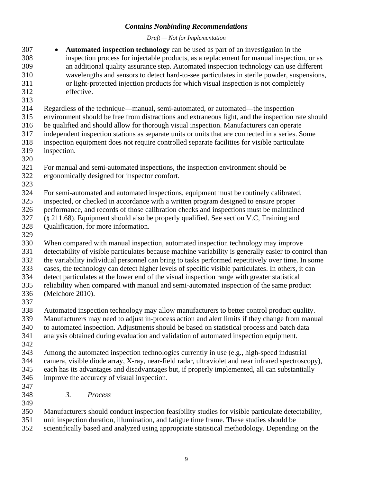*Draft — Not for Implementation*

- **Automated inspection technology** can be used as part of an investigation in the inspection process for injectable products, as a replacement for manual inspection, or as an additional quality assurance step. Automated inspection technology can use different wavelengths and sensors to detect hard-to-see particulates in sterile powder, suspensions, or light-protected injection products for which visual inspection is not completely effective.
- 
- Regardless of the technique—manual, semi-automated, or automated—the inspection
- environment should be free from distractions and extraneous light, and the inspection rate should
- be qualified and should allow for thorough visual inspection. Manufacturers can operate
- independent inspection stations as separate units or units that are connected in a series. Some
- inspection equipment does not require controlled separate facilities for visible particulate inspection.
- 
- For manual and semi-automated inspections, the inspection environment should be
- ergonomically designed for inspector comfort.
- 
- For semi-automated and automated inspections, equipment must be routinely calibrated,
- inspected, or checked in accordance with a written program designed to ensure proper
- performance, and records of those calibration checks and inspections must be maintained
- (§ 211.68). Equipment should also be properly qualified. See section V.C, Training and Qualification, for more information.
- 
- When compared with manual inspection, automated inspection technology may improve detectability of visible particulates because machine variability is generally easier to control than the variability individual personnel can bring to tasks performed repetitively over time. In some cases, the technology can detect higher levels of specific visible particulates. In others, it can
- detect particulates at the lower end of the visual inspection range with greater statistical
- reliability when compared with manual and semi-automated inspection of the same product
- (Melchore 2010).
- 
- Automated inspection technology may allow manufacturers to better control product quality.
- Manufacturers may need to adjust in-process action and alert limits if they change from manual
- to automated inspection. Adjustments should be based on statistical process and batch data
- analysis obtained during evaluation and validation of automated inspection equipment.
- 
- Among the automated inspection technologies currently in use (e.g., high-speed industrial camera, visible diode array, X-ray, near-field radar, ultraviolet and near infrared spectroscopy), each has its advantages and disadvantages but, if properly implemented, all can substantially improve the accuracy of visual inspection.
- 
- *3. Process*
- Manufacturers should conduct inspection feasibility studies for visible particulate detectability,
	- unit inspection duration, illumination, and fatigue time frame. These studies should be
	- scientifically based and analyzed using appropriate statistical methodology. Depending on the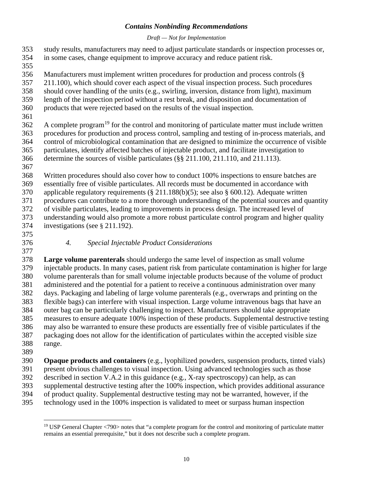#### *Draft — Not for Implementation*

- study results, manufacturers may need to adjust particulate standards or inspection processes or, in some cases, change equipment to improve accuracy and reduce patient risk.
- 
- Manufacturers must implement written procedures for production and process controls (§
- 211.100), which should cover each aspect of the visual inspection process. Such procedures
- should cover handling of the units (e.g., swirling, inversion, distance from light), maximum
- length of the inspection period without a rest break, and disposition and documentation of
- products that were rejected based on the results of the visual inspection.
- 

 A complete program<sup>19</sup> for the control and monitoring of particulate matter must include written procedures for production and process control, sampling and testing of in-process materials, and control of microbiological contamination that are designed to minimize the occurrence of visible particulates, identify affected batches of injectable product, and facilitate investigation to determine the sources of visible particulates (§§ 211.100, 211.110, and 211.113).

 Written procedures should also cover how to conduct 100% inspections to ensure batches are essentially free of visible particulates. All records must be documented in accordance with applicable regulatory requirements (§ 211.188(b)(5); see also § 600.12). Adequate written procedures can contribute to a more thorough understanding of the potential sources and quantity of visible particulates, leading to improvements in process design. The increased level of understanding would also promote a more robust particulate control program and higher quality investigations (see § 211.192).

# *4. Special Injectable Product Considerations*

 **Large volume parenterals** should undergo the same level of inspection as small volume injectable products. In many cases, patient risk from particulate contamination is higher for large volume parenterals than for small volume injectable products because of the volume of product administered and the potential for a patient to receive a continuous administration over many days. Packaging and labeling of large volume parenterals (e.g., overwraps and printing on the flexible bags) can interfere with visual inspection. Large volume intravenous bags that have an outer bag can be particularly challenging to inspect. Manufacturers should take appropriate measures to ensure adequate 100% inspection of these products. Supplemental destructive testing may also be warranted to ensure these products are essentially free of visible particulates if the packaging does not allow for the identification of particulates within the accepted visible size range.

- 
- **Opaque products and containers** (e.g., lyophilized powders, suspension products, tinted vials) present obvious challenges to visual inspection. Using advanced technologies such as those described in section V.A.2 in this guidance (e.g., X-ray spectroscopy) can help, as can supplemental destructive testing after the 100% inspection, which provides additional assurance of product quality. Supplemental destructive testing may not be warranted, however, if the technology used in the 100% inspection is validated to meet or surpass human inspection

<sup>&</sup>lt;sup>19</sup> USP General Chapter <790> notes that "a complete program for the control and monitoring of particulate matter remains an essential prerequisite," but it does not describe such a complete program.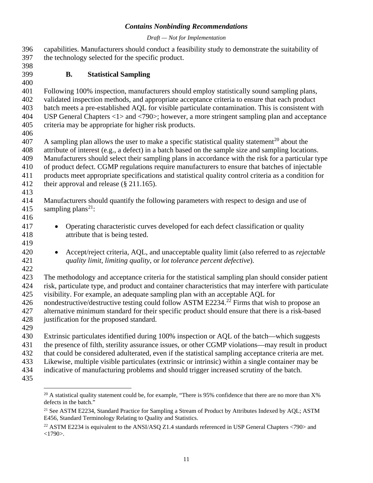#### *Draft — Not for Implementation*

| 398<br><b>Statistical Sampling</b><br><b>B.</b><br>400<br>401<br>Following 100% inspection, manufacturers should employ statistically sound sampling plans,<br>402<br>validated inspection methods, and appropriate acceptance criteria to ensure that each product<br>403<br>batch meets a pre-established AQL for visible particulate contamination. This is consistent with<br>USP General Chapters $\langle 1 \rangle$ and $\langle 790 \rangle$ ; however, a more stringent sampling plan and acceptance<br>404<br>criteria may be appropriate for higher risk products.<br>A sampling plan allows the user to make a specific statistical quality statement <sup>20</sup> about the<br>attribute of interest (e.g., a defect) in a batch based on the sample size and sampling locations.<br>Manufacturers should select their sampling plans in accordance with the risk for a particular type<br>409<br>410<br>of product defect. CGMP regulations require manufacturers to ensure that batches of injectable<br>411<br>products meet appropriate specifications and statistical quality control criteria as a condition for<br>412<br>their approval and release $(\S 211.165)$ .<br>413<br>414<br>Manufacturers should quantify the following parameters with respect to design and use of<br>sampling plans <sup>21</sup> :<br>415<br>416<br>Operating characteristic curves developed for each defect classification or quality<br>$\bullet$<br>attribute that is being tested.<br>Accept/reject criteria, AQL, and unacceptable quality limit (also referred to as <i>rejectable</i><br>$\bullet$<br>421<br>quality limit, limiting quality, or lot tolerance percent defective).<br>422<br>423<br>The methodology and acceptance criteria for the statistical sampling plan should consider patient<br>424<br>risk, particulate type, and product and container characteristics that may interfere with particulate<br>425<br>visibility. For example, an adequate sampling plan with an acceptable AQL for<br>nondestructive/destructive testing could follow ASTM E2234. <sup>22</sup> Firms that wish to propose an<br>426<br>alternative minimum standard for their specific product should ensure that there is a risk-based<br>justification for the proposed standard.<br>430<br>Extrinsic particulates identified during 100% inspection or AQL of the batch—which suggests<br>431<br>the presence of filth, sterility assurance issues, or other CGMP violations-may result in product<br>432<br>that could be considered adulterated, even if the statistical sampling acceptance criteria are met.<br>433<br>Likewise, multiple visible particulates (extrinsic or intrinsic) within a single container may be<br>434<br>indicative of manufacturing problems and should trigger increased scrutiny of the batch. | 396 | capabilities. Manufacturers should conduct a feasibility study to demonstrate the suitability of |  |
|--------------------------------------------------------------------------------------------------------------------------------------------------------------------------------------------------------------------------------------------------------------------------------------------------------------------------------------------------------------------------------------------------------------------------------------------------------------------------------------------------------------------------------------------------------------------------------------------------------------------------------------------------------------------------------------------------------------------------------------------------------------------------------------------------------------------------------------------------------------------------------------------------------------------------------------------------------------------------------------------------------------------------------------------------------------------------------------------------------------------------------------------------------------------------------------------------------------------------------------------------------------------------------------------------------------------------------------------------------------------------------------------------------------------------------------------------------------------------------------------------------------------------------------------------------------------------------------------------------------------------------------------------------------------------------------------------------------------------------------------------------------------------------------------------------------------------------------------------------------------------------------------------------------------------------------------------------------------------------------------------------------------------------------------------------------------------------------------------------------------------------------------------------------------------------------------------------------------------------------------------------------------------------------------------------------------------------------------------------------------------------------------------------------------------------------------------------------------------------------------------------------------------------------------------------------------------------------------------------------------------------------------------------------------------------------------------------------------------------------------------------------------------------------------------------------------------------------------|-----|--------------------------------------------------------------------------------------------------|--|
|                                                                                                                                                                                                                                                                                                                                                                                                                                                                                                                                                                                                                                                                                                                                                                                                                                                                                                                                                                                                                                                                                                                                                                                                                                                                                                                                                                                                                                                                                                                                                                                                                                                                                                                                                                                                                                                                                                                                                                                                                                                                                                                                                                                                                                                                                                                                                                                                                                                                                                                                                                                                                                                                                                                                                                                                                                            | 397 | the technology selected for the specific product.                                                |  |
|                                                                                                                                                                                                                                                                                                                                                                                                                                                                                                                                                                                                                                                                                                                                                                                                                                                                                                                                                                                                                                                                                                                                                                                                                                                                                                                                                                                                                                                                                                                                                                                                                                                                                                                                                                                                                                                                                                                                                                                                                                                                                                                                                                                                                                                                                                                                                                                                                                                                                                                                                                                                                                                                                                                                                                                                                                            | 399 |                                                                                                  |  |
|                                                                                                                                                                                                                                                                                                                                                                                                                                                                                                                                                                                                                                                                                                                                                                                                                                                                                                                                                                                                                                                                                                                                                                                                                                                                                                                                                                                                                                                                                                                                                                                                                                                                                                                                                                                                                                                                                                                                                                                                                                                                                                                                                                                                                                                                                                                                                                                                                                                                                                                                                                                                                                                                                                                                                                                                                                            |     |                                                                                                  |  |
|                                                                                                                                                                                                                                                                                                                                                                                                                                                                                                                                                                                                                                                                                                                                                                                                                                                                                                                                                                                                                                                                                                                                                                                                                                                                                                                                                                                                                                                                                                                                                                                                                                                                                                                                                                                                                                                                                                                                                                                                                                                                                                                                                                                                                                                                                                                                                                                                                                                                                                                                                                                                                                                                                                                                                                                                                                            |     |                                                                                                  |  |
|                                                                                                                                                                                                                                                                                                                                                                                                                                                                                                                                                                                                                                                                                                                                                                                                                                                                                                                                                                                                                                                                                                                                                                                                                                                                                                                                                                                                                                                                                                                                                                                                                                                                                                                                                                                                                                                                                                                                                                                                                                                                                                                                                                                                                                                                                                                                                                                                                                                                                                                                                                                                                                                                                                                                                                                                                                            |     |                                                                                                  |  |
|                                                                                                                                                                                                                                                                                                                                                                                                                                                                                                                                                                                                                                                                                                                                                                                                                                                                                                                                                                                                                                                                                                                                                                                                                                                                                                                                                                                                                                                                                                                                                                                                                                                                                                                                                                                                                                                                                                                                                                                                                                                                                                                                                                                                                                                                                                                                                                                                                                                                                                                                                                                                                                                                                                                                                                                                                                            |     |                                                                                                  |  |
|                                                                                                                                                                                                                                                                                                                                                                                                                                                                                                                                                                                                                                                                                                                                                                                                                                                                                                                                                                                                                                                                                                                                                                                                                                                                                                                                                                                                                                                                                                                                                                                                                                                                                                                                                                                                                                                                                                                                                                                                                                                                                                                                                                                                                                                                                                                                                                                                                                                                                                                                                                                                                                                                                                                                                                                                                                            | 405 |                                                                                                  |  |
|                                                                                                                                                                                                                                                                                                                                                                                                                                                                                                                                                                                                                                                                                                                                                                                                                                                                                                                                                                                                                                                                                                                                                                                                                                                                                                                                                                                                                                                                                                                                                                                                                                                                                                                                                                                                                                                                                                                                                                                                                                                                                                                                                                                                                                                                                                                                                                                                                                                                                                                                                                                                                                                                                                                                                                                                                                            | 406 |                                                                                                  |  |
|                                                                                                                                                                                                                                                                                                                                                                                                                                                                                                                                                                                                                                                                                                                                                                                                                                                                                                                                                                                                                                                                                                                                                                                                                                                                                                                                                                                                                                                                                                                                                                                                                                                                                                                                                                                                                                                                                                                                                                                                                                                                                                                                                                                                                                                                                                                                                                                                                                                                                                                                                                                                                                                                                                                                                                                                                                            | 407 |                                                                                                  |  |
|                                                                                                                                                                                                                                                                                                                                                                                                                                                                                                                                                                                                                                                                                                                                                                                                                                                                                                                                                                                                                                                                                                                                                                                                                                                                                                                                                                                                                                                                                                                                                                                                                                                                                                                                                                                                                                                                                                                                                                                                                                                                                                                                                                                                                                                                                                                                                                                                                                                                                                                                                                                                                                                                                                                                                                                                                                            | 408 |                                                                                                  |  |
|                                                                                                                                                                                                                                                                                                                                                                                                                                                                                                                                                                                                                                                                                                                                                                                                                                                                                                                                                                                                                                                                                                                                                                                                                                                                                                                                                                                                                                                                                                                                                                                                                                                                                                                                                                                                                                                                                                                                                                                                                                                                                                                                                                                                                                                                                                                                                                                                                                                                                                                                                                                                                                                                                                                                                                                                                                            |     |                                                                                                  |  |
|                                                                                                                                                                                                                                                                                                                                                                                                                                                                                                                                                                                                                                                                                                                                                                                                                                                                                                                                                                                                                                                                                                                                                                                                                                                                                                                                                                                                                                                                                                                                                                                                                                                                                                                                                                                                                                                                                                                                                                                                                                                                                                                                                                                                                                                                                                                                                                                                                                                                                                                                                                                                                                                                                                                                                                                                                                            |     |                                                                                                  |  |
|                                                                                                                                                                                                                                                                                                                                                                                                                                                                                                                                                                                                                                                                                                                                                                                                                                                                                                                                                                                                                                                                                                                                                                                                                                                                                                                                                                                                                                                                                                                                                                                                                                                                                                                                                                                                                                                                                                                                                                                                                                                                                                                                                                                                                                                                                                                                                                                                                                                                                                                                                                                                                                                                                                                                                                                                                                            |     |                                                                                                  |  |
|                                                                                                                                                                                                                                                                                                                                                                                                                                                                                                                                                                                                                                                                                                                                                                                                                                                                                                                                                                                                                                                                                                                                                                                                                                                                                                                                                                                                                                                                                                                                                                                                                                                                                                                                                                                                                                                                                                                                                                                                                                                                                                                                                                                                                                                                                                                                                                                                                                                                                                                                                                                                                                                                                                                                                                                                                                            |     |                                                                                                  |  |
|                                                                                                                                                                                                                                                                                                                                                                                                                                                                                                                                                                                                                                                                                                                                                                                                                                                                                                                                                                                                                                                                                                                                                                                                                                                                                                                                                                                                                                                                                                                                                                                                                                                                                                                                                                                                                                                                                                                                                                                                                                                                                                                                                                                                                                                                                                                                                                                                                                                                                                                                                                                                                                                                                                                                                                                                                                            |     |                                                                                                  |  |
|                                                                                                                                                                                                                                                                                                                                                                                                                                                                                                                                                                                                                                                                                                                                                                                                                                                                                                                                                                                                                                                                                                                                                                                                                                                                                                                                                                                                                                                                                                                                                                                                                                                                                                                                                                                                                                                                                                                                                                                                                                                                                                                                                                                                                                                                                                                                                                                                                                                                                                                                                                                                                                                                                                                                                                                                                                            |     |                                                                                                  |  |
|                                                                                                                                                                                                                                                                                                                                                                                                                                                                                                                                                                                                                                                                                                                                                                                                                                                                                                                                                                                                                                                                                                                                                                                                                                                                                                                                                                                                                                                                                                                                                                                                                                                                                                                                                                                                                                                                                                                                                                                                                                                                                                                                                                                                                                                                                                                                                                                                                                                                                                                                                                                                                                                                                                                                                                                                                                            |     |                                                                                                  |  |
|                                                                                                                                                                                                                                                                                                                                                                                                                                                                                                                                                                                                                                                                                                                                                                                                                                                                                                                                                                                                                                                                                                                                                                                                                                                                                                                                                                                                                                                                                                                                                                                                                                                                                                                                                                                                                                                                                                                                                                                                                                                                                                                                                                                                                                                                                                                                                                                                                                                                                                                                                                                                                                                                                                                                                                                                                                            | 417 |                                                                                                  |  |
|                                                                                                                                                                                                                                                                                                                                                                                                                                                                                                                                                                                                                                                                                                                                                                                                                                                                                                                                                                                                                                                                                                                                                                                                                                                                                                                                                                                                                                                                                                                                                                                                                                                                                                                                                                                                                                                                                                                                                                                                                                                                                                                                                                                                                                                                                                                                                                                                                                                                                                                                                                                                                                                                                                                                                                                                                                            | 418 |                                                                                                  |  |
|                                                                                                                                                                                                                                                                                                                                                                                                                                                                                                                                                                                                                                                                                                                                                                                                                                                                                                                                                                                                                                                                                                                                                                                                                                                                                                                                                                                                                                                                                                                                                                                                                                                                                                                                                                                                                                                                                                                                                                                                                                                                                                                                                                                                                                                                                                                                                                                                                                                                                                                                                                                                                                                                                                                                                                                                                                            | 419 |                                                                                                  |  |
|                                                                                                                                                                                                                                                                                                                                                                                                                                                                                                                                                                                                                                                                                                                                                                                                                                                                                                                                                                                                                                                                                                                                                                                                                                                                                                                                                                                                                                                                                                                                                                                                                                                                                                                                                                                                                                                                                                                                                                                                                                                                                                                                                                                                                                                                                                                                                                                                                                                                                                                                                                                                                                                                                                                                                                                                                                            | 420 |                                                                                                  |  |
|                                                                                                                                                                                                                                                                                                                                                                                                                                                                                                                                                                                                                                                                                                                                                                                                                                                                                                                                                                                                                                                                                                                                                                                                                                                                                                                                                                                                                                                                                                                                                                                                                                                                                                                                                                                                                                                                                                                                                                                                                                                                                                                                                                                                                                                                                                                                                                                                                                                                                                                                                                                                                                                                                                                                                                                                                                            |     |                                                                                                  |  |
|                                                                                                                                                                                                                                                                                                                                                                                                                                                                                                                                                                                                                                                                                                                                                                                                                                                                                                                                                                                                                                                                                                                                                                                                                                                                                                                                                                                                                                                                                                                                                                                                                                                                                                                                                                                                                                                                                                                                                                                                                                                                                                                                                                                                                                                                                                                                                                                                                                                                                                                                                                                                                                                                                                                                                                                                                                            |     |                                                                                                  |  |
|                                                                                                                                                                                                                                                                                                                                                                                                                                                                                                                                                                                                                                                                                                                                                                                                                                                                                                                                                                                                                                                                                                                                                                                                                                                                                                                                                                                                                                                                                                                                                                                                                                                                                                                                                                                                                                                                                                                                                                                                                                                                                                                                                                                                                                                                                                                                                                                                                                                                                                                                                                                                                                                                                                                                                                                                                                            |     |                                                                                                  |  |
|                                                                                                                                                                                                                                                                                                                                                                                                                                                                                                                                                                                                                                                                                                                                                                                                                                                                                                                                                                                                                                                                                                                                                                                                                                                                                                                                                                                                                                                                                                                                                                                                                                                                                                                                                                                                                                                                                                                                                                                                                                                                                                                                                                                                                                                                                                                                                                                                                                                                                                                                                                                                                                                                                                                                                                                                                                            |     |                                                                                                  |  |
|                                                                                                                                                                                                                                                                                                                                                                                                                                                                                                                                                                                                                                                                                                                                                                                                                                                                                                                                                                                                                                                                                                                                                                                                                                                                                                                                                                                                                                                                                                                                                                                                                                                                                                                                                                                                                                                                                                                                                                                                                                                                                                                                                                                                                                                                                                                                                                                                                                                                                                                                                                                                                                                                                                                                                                                                                                            |     |                                                                                                  |  |
|                                                                                                                                                                                                                                                                                                                                                                                                                                                                                                                                                                                                                                                                                                                                                                                                                                                                                                                                                                                                                                                                                                                                                                                                                                                                                                                                                                                                                                                                                                                                                                                                                                                                                                                                                                                                                                                                                                                                                                                                                                                                                                                                                                                                                                                                                                                                                                                                                                                                                                                                                                                                                                                                                                                                                                                                                                            | 427 |                                                                                                  |  |
|                                                                                                                                                                                                                                                                                                                                                                                                                                                                                                                                                                                                                                                                                                                                                                                                                                                                                                                                                                                                                                                                                                                                                                                                                                                                                                                                                                                                                                                                                                                                                                                                                                                                                                                                                                                                                                                                                                                                                                                                                                                                                                                                                                                                                                                                                                                                                                                                                                                                                                                                                                                                                                                                                                                                                                                                                                            | 428 |                                                                                                  |  |
|                                                                                                                                                                                                                                                                                                                                                                                                                                                                                                                                                                                                                                                                                                                                                                                                                                                                                                                                                                                                                                                                                                                                                                                                                                                                                                                                                                                                                                                                                                                                                                                                                                                                                                                                                                                                                                                                                                                                                                                                                                                                                                                                                                                                                                                                                                                                                                                                                                                                                                                                                                                                                                                                                                                                                                                                                                            | 429 |                                                                                                  |  |
|                                                                                                                                                                                                                                                                                                                                                                                                                                                                                                                                                                                                                                                                                                                                                                                                                                                                                                                                                                                                                                                                                                                                                                                                                                                                                                                                                                                                                                                                                                                                                                                                                                                                                                                                                                                                                                                                                                                                                                                                                                                                                                                                                                                                                                                                                                                                                                                                                                                                                                                                                                                                                                                                                                                                                                                                                                            |     |                                                                                                  |  |
|                                                                                                                                                                                                                                                                                                                                                                                                                                                                                                                                                                                                                                                                                                                                                                                                                                                                                                                                                                                                                                                                                                                                                                                                                                                                                                                                                                                                                                                                                                                                                                                                                                                                                                                                                                                                                                                                                                                                                                                                                                                                                                                                                                                                                                                                                                                                                                                                                                                                                                                                                                                                                                                                                                                                                                                                                                            |     |                                                                                                  |  |
|                                                                                                                                                                                                                                                                                                                                                                                                                                                                                                                                                                                                                                                                                                                                                                                                                                                                                                                                                                                                                                                                                                                                                                                                                                                                                                                                                                                                                                                                                                                                                                                                                                                                                                                                                                                                                                                                                                                                                                                                                                                                                                                                                                                                                                                                                                                                                                                                                                                                                                                                                                                                                                                                                                                                                                                                                                            |     |                                                                                                  |  |
|                                                                                                                                                                                                                                                                                                                                                                                                                                                                                                                                                                                                                                                                                                                                                                                                                                                                                                                                                                                                                                                                                                                                                                                                                                                                                                                                                                                                                                                                                                                                                                                                                                                                                                                                                                                                                                                                                                                                                                                                                                                                                                                                                                                                                                                                                                                                                                                                                                                                                                                                                                                                                                                                                                                                                                                                                                            |     |                                                                                                  |  |
|                                                                                                                                                                                                                                                                                                                                                                                                                                                                                                                                                                                                                                                                                                                                                                                                                                                                                                                                                                                                                                                                                                                                                                                                                                                                                                                                                                                                                                                                                                                                                                                                                                                                                                                                                                                                                                                                                                                                                                                                                                                                                                                                                                                                                                                                                                                                                                                                                                                                                                                                                                                                                                                                                                                                                                                                                                            | 435 |                                                                                                  |  |

<sup>&</sup>lt;sup>20</sup> A statistical quality statement could be, for example, "There is 95% confidence that there are no more than  $X$ % defects in the batch."

<sup>&</sup>lt;sup>21</sup> See ASTM E2234, Standard Practice for Sampling a Stream of Product by Attributes Indexed by AQL; ASTM E456, Standard Terminology Relating to Quality and Statistics.

<sup>&</sup>lt;sup>22</sup> ASTM E2234 is equivalent to the ANSI/ASQ Z1.4 standards referenced in USP General Chapters <790> and  $<1790$ .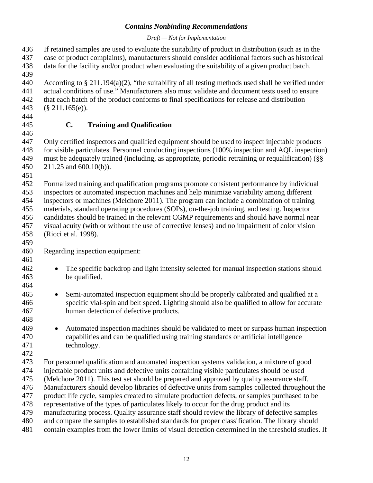#### *Draft — Not for Implementation*

 If retained samples are used to evaluate the suitability of product in distribution (such as in the case of product complaints), manufacturers should consider additional factors such as historical data for the facility and/or product when evaluating the suitability of a given product batch. According to § 211.194(a)(2), "the suitability of all testing methods used shall be verified under actual conditions of use." Manufacturers also must validate and document tests used to ensure that each batch of the product conforms to final specifications for release and distribution (§ 211.165(e)). **C. Training and Qualification** Only certified inspectors and qualified equipment should be used to inspect injectable products for visible particulates. Personnel conducting inspections (100% inspection and AQL inspection) must be adequately trained (including, as appropriate, periodic retraining or requalification) (§§ 211.25 and 600.10(b)). Formalized training and qualification programs promote consistent performance by individual inspectors or automated inspection machines and help minimize variability among different inspectors or machines (Melchore 2011). The program can include a combination of training materials, standard operating procedures (SOPs), on-the-job training, and testing. Inspector candidates should be trained in the relevant CGMP requirements and should have normal near visual acuity (with or without the use of corrective lenses) and no impairment of color vision (Ricci et al. 1998). Regarding inspection equipment: • The specific backdrop and light intensity selected for manual inspection stations should be qualified. • Semi-automated inspection equipment should be properly calibrated and qualified at a specific vial-spin and belt speed. Lighting should also be qualified to allow for accurate human detection of defective products. • Automated inspection machines should be validated to meet or surpass human inspection capabilities and can be qualified using training standards or artificial intelligence technology. For personnel qualification and automated inspection systems validation, a mixture of good injectable product units and defective units containing visible particulates should be used (Melchore 2011). This test set should be prepared and approved by quality assurance staff. Manufacturers should develop libraries of defective units from samples collected throughout the product life cycle, samples created to simulate production defects, or samples purchased to be representative of the types of particulates likely to occur for the drug product and its manufacturing process. Quality assurance staff should review the library of defective samples and compare the samples to established standards for proper classification. The library should contain examples from the lower limits of visual detection determined in the threshold studies. If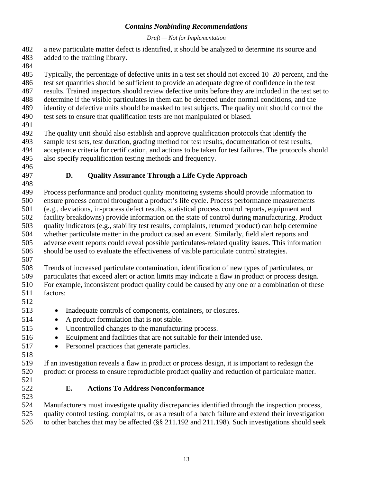#### *Draft — Not for Implementation*

- a new particulate matter defect is identified, it should be analyzed to determine its source and added to the training library.
- 
- Typically, the percentage of defective units in a test set should not exceed 10–20 percent, and the
- test set quantities should be sufficient to provide an adequate degree of confidence in the test
- results. Trained inspectors should review defective units before they are included in the test set to
- determine if the visible particulates in them can be detected under normal conditions, and the identity of defective units should be masked to test subjects. The quality unit should control the
- test sets to ensure that qualification tests are not manipulated or biased.
- 
- The quality unit should also establish and approve qualification protocols that identify the sample test sets, test duration, grading method for test results, documentation of test results, acceptance criteria for certification, and actions to be taken for test failures. The protocols should also specify requalification testing methods and frequency.
- 
- 

# **D. Quality Assurance Through a Life Cycle Approach**

- Process performance and product quality monitoring systems should provide information to ensure process control throughout a product's life cycle. Process performance measurements (e.g., deviations, in-process defect results, statistical process control reports, equipment and facility breakdowns) provide information on the state of control during manufacturing. Product quality indicators (e.g., stability test results, complaints, returned product) can help determine whether particulate matter in the product caused an event. Similarly, field alert reports and adverse event reports could reveal possible particulates-related quality issues. This information should be used to evaluate the effectiveness of visible particulate control strategies.
- 

 Trends of increased particulate contamination, identification of new types of particulates, or particulates that exceed alert or action limits may indicate a flaw in product or process design.

- For example, inconsistent product quality could be caused by any one or a combination of these factors:
- 
- Inadequate controls of components, containers, or closures.
- A product formulation that is not stable.
- Uncontrolled changes to the manufacturing process.
- Equipment and facilities that are not suitable for their intended use.
- Personnel practices that generate particles.
- 

 If an investigation reveals a flaw in product or process design, it is important to redesign the product or process to ensure reproducible product quality and reduction of particulate matter.

- 
- 

# **E. Actions To Address Nonconformance**

 Manufacturers must investigate quality discrepancies identified through the inspection process, quality control testing, complaints, or as a result of a batch failure and extend their investigation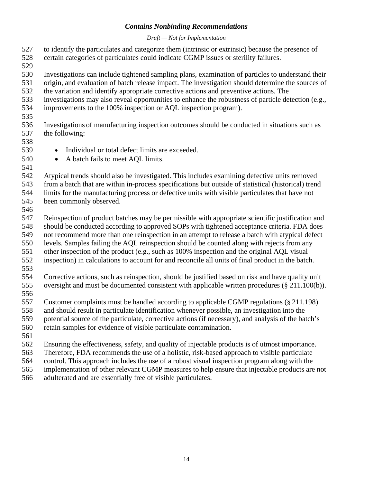*Draft — Not for Implementation*

 to identify the particulates and categorize them (intrinsic or extrinsic) because the presence of certain categories of particulates could indicate CGMP issues or sterility failures.

Investigations can include tightened sampling plans, examination of particles to understand their

- origin, and evaluation of batch release impact. The investigation should determine the sources of
- the variation and identify appropriate corrective actions and preventive actions. The
- investigations may also reveal opportunities to enhance the robustness of particle detection (e.g.,
- improvements to the 100% inspection or AQL inspection program).
- 

 Investigations of manufacturing inspection outcomes should be conducted in situations such as the following:

- 
- Individual or total defect limits are exceeded.
- A batch fails to meet AQL limits.
- 

 Atypical trends should also be investigated. This includes examining defective units removed from a batch that are within in-process specifications but outside of statistical (historical) trend

limits for the manufacturing process or defective units with visible particulates that have not

been commonly observed.

 Reinspection of product batches may be permissible with appropriate scientific justification and should be conducted according to approved SOPs with tightened acceptance criteria. FDA does not recommend more than one reinspection in an attempt to release a batch with atypical defect levels. Samples failing the AQL reinspection should be counted along with rejects from any

- other inspection of the product (e.g., such as 100% inspection and the original AQL visual
- inspection) in calculations to account for and reconcile all units of final product in the batch.
- 

 Corrective actions, such as reinspection, should be justified based on risk and have quality unit oversight and must be documented consistent with applicable written procedures (§ 211.100(b)).

Customer complaints must be handled according to applicable CGMP regulations (§ 211.198)

and should result in particulate identification whenever possible, an investigation into the

potential source of the particulate, corrective actions (if necessary), and analysis of the batch's

retain samples for evidence of visible particulate contamination.

Ensuring the effectiveness, safety, and quality of injectable products is of utmost importance.

Therefore, FDA recommends the use of a holistic, risk-based approach to visible particulate

control. This approach includes the use of a robust visual inspection program along with the

implementation of other relevant CGMP measures to help ensure that injectable products are not

adulterated and are essentially free of visible particulates.